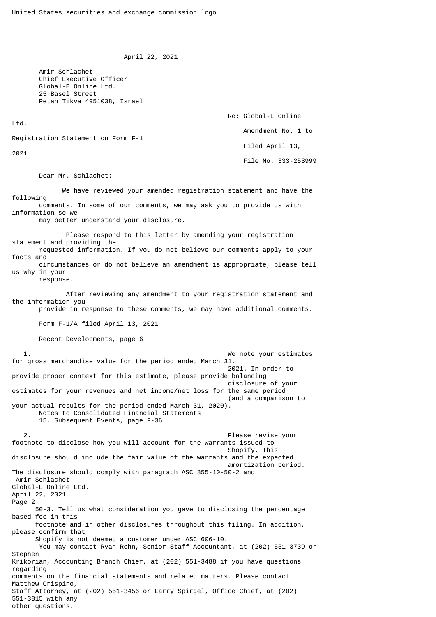April 22, 2021

 Amir Schlachet Chief Executive Officer Global-E Online Ltd. 25 Basel Street Petah Tikva 4951038, Israel

 Re: Global-E Online Ltd. Amendment No. 1 to Registration Statement on Form F-1 Filed April 13, 2021 File No. 333-253999

Dear Mr. Schlachet:

 We have reviewed your amended registration statement and have the following comments. In some of our comments, we may ask you to provide us with information so we

may better understand your disclosure.

 Please respond to this letter by amending your registration statement and providing the requested information. If you do not believe our comments apply to your facts and circumstances or do not believe an amendment is appropriate, please tell

us why in your response.

other questions.

 After reviewing any amendment to your registration statement and the information you provide in response to these comments, we may have additional comments.

Form F-1/A filed April 13, 2021

Recent Developments, page 6

 1. We note your estimates for gross merchandise value for the period ended March 31, 2021. In order to provide proper context for this estimate, please provide balancing disclosure of your estimates for your revenues and net income/net loss for the same period (and a comparison to your actual results for the period ended March 31, 2020). Notes to Consolidated Financial Statements 15. Subsequent Events, page F-36 2. Please revise your footnote to disclose how you will account for the warrants issued to Shopify. This disclosure should include the fair value of the warrants and the expected amortization period. The disclosure should comply with paragraph ASC 855-10-50-2 and Amir Schlachet Global-E Online Ltd. April 22, 2021 Page 2 50-3. Tell us what consideration you gave to disclosing the percentage based fee in this footnote and in other disclosures throughout this filing. In addition, please confirm that Shopify is not deemed a customer under ASC 606-10. You may contact Ryan Rohn, Senior Staff Accountant, at (202) 551-3739 or **Stephen** Krikorian, Accounting Branch Chief, at (202) 551-3488 if you have questions regarding comments on the financial statements and related matters. Please contact Matthew Crispino, Staff Attorney, at (202) 551-3456 or Larry Spirgel, Office Chief, at (202) 551-3815 with any